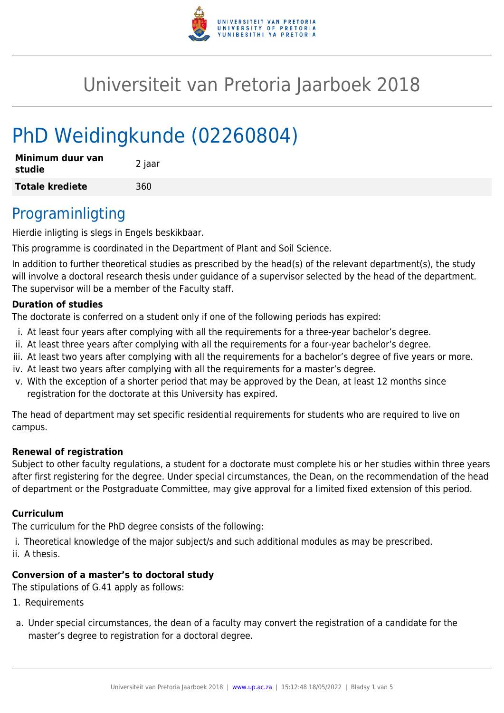

# Universiteit van Pretoria Jaarboek 2018

# PhD Weidingkunde (02260804)

| Minimum duur van<br>studie | 2 jaar |
|----------------------------|--------|
| <b>Totale krediete</b>     | 360    |

### Programinligting

Hierdie inligting is slegs in Engels beskikbaar.

This programme is coordinated in the Department of Plant and Soil Science.

In addition to further theoretical studies as prescribed by the head(s) of the relevant department(s), the study will involve a doctoral research thesis under guidance of a supervisor selected by the head of the department. The supervisor will be a member of the Faculty staff.

### **Duration of studies**

The doctorate is conferred on a student only if one of the following periods has expired:

- i. At least four years after complying with all the requirements for a three-year bachelor's degree.
- ii. At least three years after complying with all the requirements for a four-year bachelor's degree.
- iii. At least two years after complying with all the requirements for a bachelor's degree of five years or more.
- iv. At least two years after complying with all the requirements for a master's degree.
- v. With the exception of a shorter period that may be approved by the Dean, at least 12 months since registration for the doctorate at this University has expired.

The head of department may set specific residential requirements for students who are required to live on campus.

### **Renewal of registration**

Subject to other faculty regulations, a student for a doctorate must complete his or her studies within three years after first registering for the degree. Under special circumstances, the Dean, on the recommendation of the head of department or the Postgraduate Committee, may give approval for a limited fixed extension of this period.

### **Curriculum**

The curriculum for the PhD degree consists of the following:

- i. Theoretical knowledge of the major subject/s and such additional modules as may be prescribed.
- ii. A thesis.

### **Conversion of a master's to doctoral study**

The stipulations of G.41 apply as follows:

- 1. Requirements
- a. Under special circumstances, the dean of a faculty may convert the registration of a candidate for the master's degree to registration for a doctoral degree.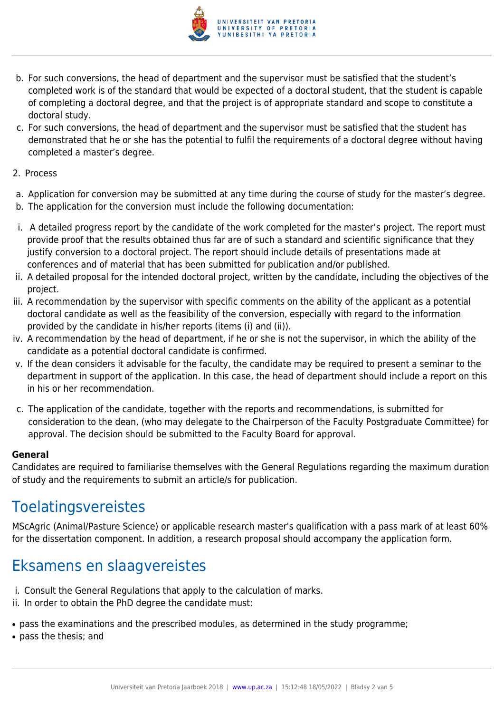

- b. For such conversions, the head of department and the supervisor must be satisfied that the student's completed work is of the standard that would be expected of a doctoral student, that the student is capable of completing a doctoral degree, and that the project is of appropriate standard and scope to constitute a doctoral study.
- c. For such conversions, the head of department and the supervisor must be satisfied that the student has demonstrated that he or she has the potential to fulfil the requirements of a doctoral degree without having completed a master's degree.
- 2. Process
- a. Application for conversion may be submitted at any time during the course of study for the master's degree.
- b. The application for the conversion must include the following documentation:
- i. A detailed progress report by the candidate of the work completed for the master's project. The report must provide proof that the results obtained thus far are of such a standard and scientific significance that they justify conversion to a doctoral project. The report should include details of presentations made at conferences and of material that has been submitted for publication and/or published.
- ii. A detailed proposal for the intended doctoral project, written by the candidate, including the objectives of the project.
- iii. A recommendation by the supervisor with specific comments on the ability of the applicant as a potential doctoral candidate as well as the feasibility of the conversion, especially with regard to the information provided by the candidate in his/her reports (items (i) and (ii)).
- iv. A recommendation by the head of department, if he or she is not the supervisor, in which the ability of the candidate as a potential doctoral candidate is confirmed.
- v. If the dean considers it advisable for the faculty, the candidate may be required to present a seminar to the department in support of the application. In this case, the head of department should include a report on this in his or her recommendation.
- c. The application of the candidate, together with the reports and recommendations, is submitted for consideration to the dean, (who may delegate to the Chairperson of the Faculty Postgraduate Committee) for approval. The decision should be submitted to the Faculty Board for approval.

### **General**

Candidates are required to familiarise themselves with the General Regulations regarding the maximum duration of study and the requirements to submit an article/s for publication.

### Toelatingsvereistes

MScAgric (Animal/Pasture Science) or applicable research master's qualification with a pass mark of at least 60% for the dissertation component. In addition, a research proposal should accompany the application form.

## Eksamens en slaagvereistes

- i. Consult the General Regulations that apply to the calculation of marks.
- ii. In order to obtain the PhD degree the candidate must:
- pass the examinations and the prescribed modules, as determined in the study programme;
- pass the thesis; and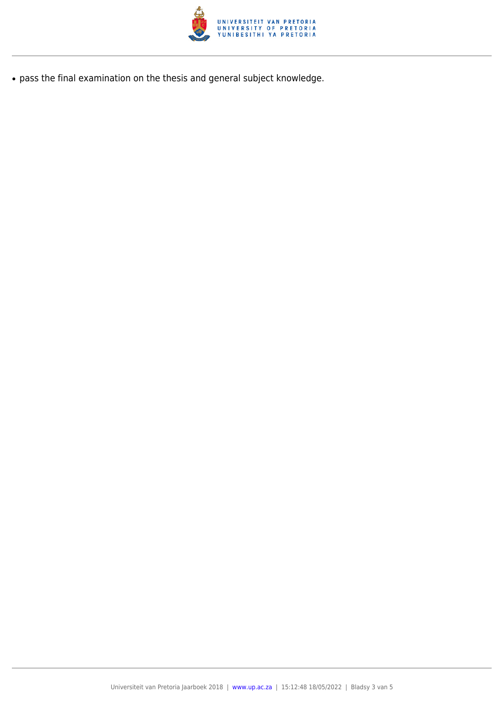

● pass the final examination on the thesis and general subject knowledge.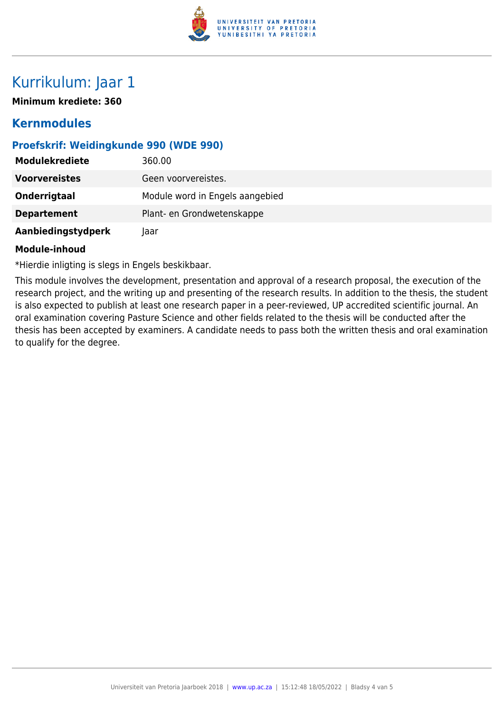

## Kurrikulum: Jaar 1

**Minimum krediete: 360**

### **Kernmodules**

### **Proefskrif: Weidingkunde 990 (WDE 990)**

| <b>Modulekrediete</b> | 360.00                          |
|-----------------------|---------------------------------|
| <b>Voorvereistes</b>  | Geen voorvereistes.             |
| Onderrigtaal          | Module word in Engels aangebied |
| <b>Departement</b>    | Plant- en Grondwetenskappe      |
| Aanbiedingstydperk    | laar                            |

#### **Module-inhoud**

\*Hierdie inligting is slegs in Engels beskikbaar.

This module involves the development, presentation and approval of a research proposal, the execution of the research project, and the writing up and presenting of the research results. In addition to the thesis, the student is also expected to publish at least one research paper in a peer-reviewed, UP accredited scientific journal. An oral examination covering Pasture Science and other fields related to the thesis will be conducted after the thesis has been accepted by examiners. A candidate needs to pass both the written thesis and oral examination to qualify for the degree.